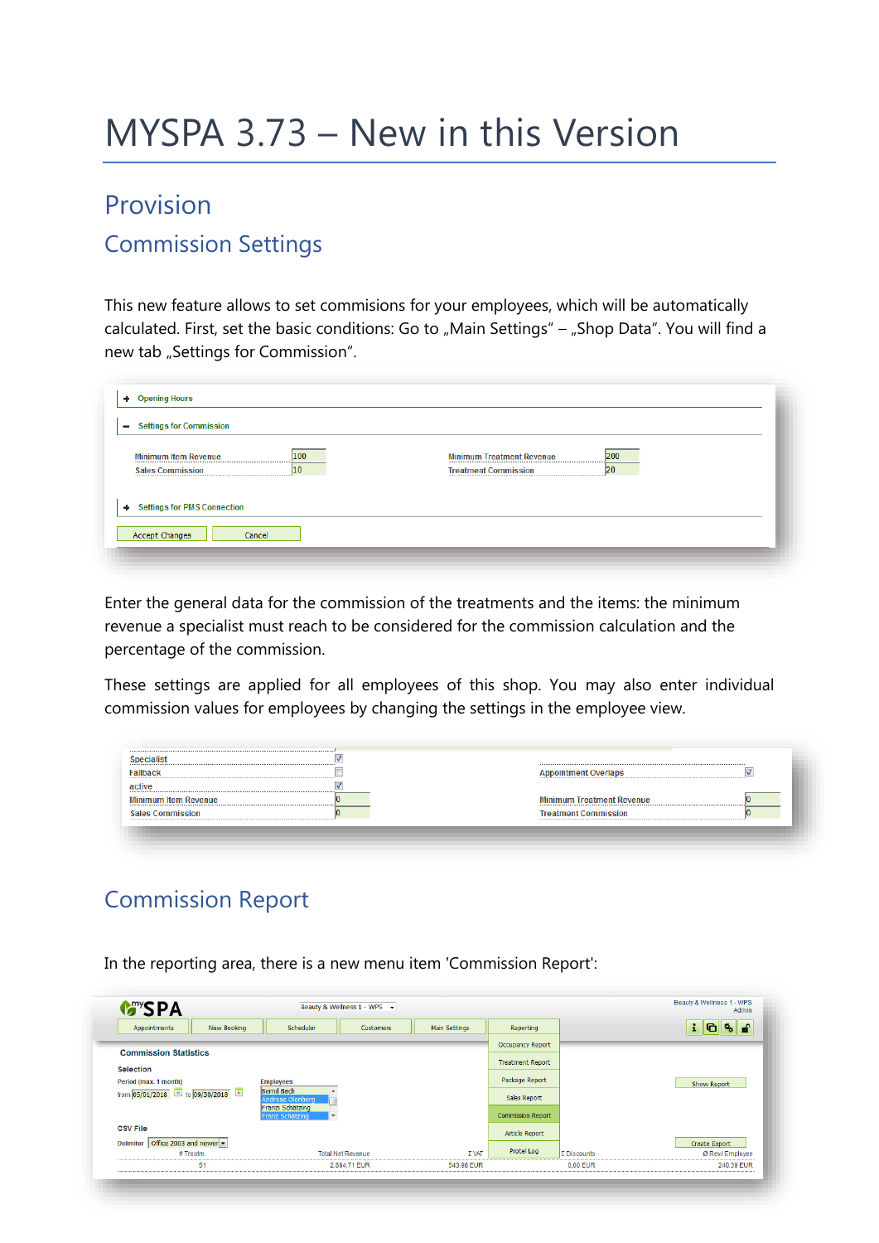# MYSPA 3.73 – New in this Version

## Provision

#### Commission Settings

This new feature allows to set commisions for your employees, which will be automatically calculated. First, set the basic conditions: Go to "Main Settings" – "Shop Data". You will find a new tab "Settings for Commission".

| <b>Opening Hours</b><br><b>Settings for Commission</b>              |                                                                              |
|---------------------------------------------------------------------|------------------------------------------------------------------------------|
| 100<br><b>Minimum Item Revenue</b><br>10<br><b>Sales Commission</b> | 200<br><b>Minimum Treatment Revenue</b><br>20<br><b>Treatment Commission</b> |
| <b>Settings for PMS Connection</b><br>Accept Changes<br>Cancel      |                                                                              |

Enter the general data for the commission of the treatments and the items: the minimum revenue a specialist must reach to be considered for the commission calculation and the percentage of the commission.

These settings are applied for all employees of this shop. You may also enter individual commission values for employees by changing the settings in the employee view.

| Fallback                                                        | <b>Appointment Overlaps</b>      |
|-----------------------------------------------------------------|----------------------------------|
| active                                                          |                                  |
| <b>Minimum Item Revenue</b>                                     | <b>Minimum Treatment Revenue</b> |
| <b>Sales Commission</b><br>------------------------------------ | <b>Treatment Commission</b>      |

### Commission Report

In the reporting area, there is a new menu item 'Commission Report':

| New Booking<br>Appointments               | Scheduler                                                       | Customers                | Main Settings | Reporting               |                    | 陈子<br>i.<br>n    |  |
|-------------------------------------------|-----------------------------------------------------------------|--------------------------|---------------|-------------------------|--------------------|------------------|--|
|                                           |                                                                 | Occupancy Report         |               |                         |                    |                  |  |
| <b>Commission Statistics</b>              |                                                                 |                          |               | <b>Treatment Report</b> |                    |                  |  |
| <b>Selection</b><br>Period (max. 1 month) | <b>Employees</b>                                                | Package Report           |               | <b>Show Report</b>      |                    |                  |  |
| from 05/01/2018 <b>b</b> to 09/30/2018    | <b>Bernd Bach</b><br>A<br>Andreas Olenberg                      | Sales Report             |               |                         |                    |                  |  |
|                                           | Franzi Schätzing<br>Franz Schätzing<br>$\overline{\phantom{a}}$ |                          |               | Commission Report       |                    |                  |  |
| <b>CSV File</b>                           |                                                                 |                          |               | Article Report          |                    |                  |  |
| Office 2003 and newer<br><b>Delimiter</b> |                                                                 |                          |               |                         |                    | Create Export    |  |
| # Treatm.                                 |                                                                 | <b>Total Net Revenue</b> | $\Sigma$ VAT  | Protel Log              | $\Sigma$ Discounts | Ø Rev./ Employee |  |
| 51                                        |                                                                 | 2.884,71 EUR             | 543,98 EUR    |                         | $0.00$ EUR         | 240,39 EUR       |  |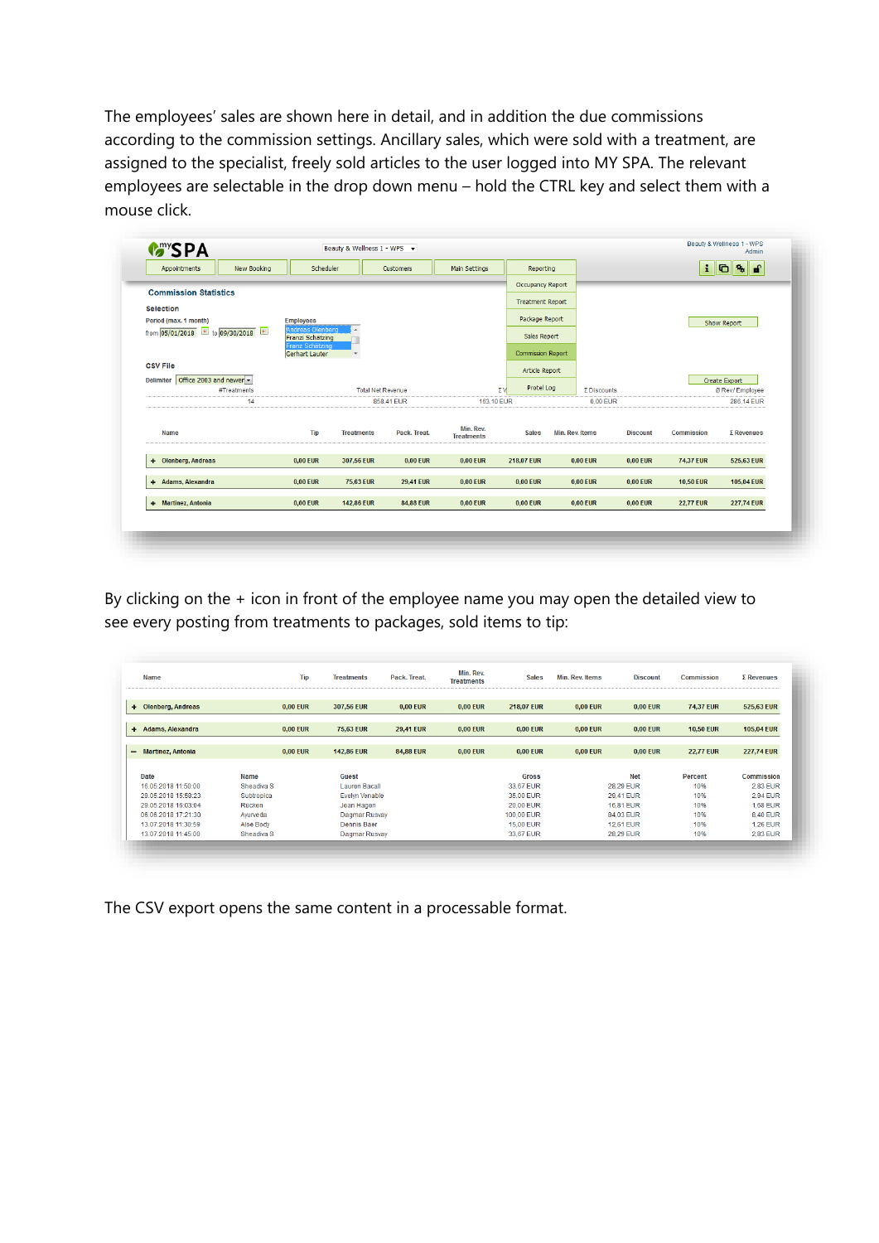The employees' sales are shown here in detail, and in addition the due commissions according to the commission settings. Ancillary sales, which were sold with a treatment, are assigned to the specialist, freely sold articles to the user logged into MY SPA. The relevant employees are selectable in the drop down menu – hold the CTRL key and select them with a mouse click.

| New Booking<br>Appointments               | Scheduler                            |                   | Customers                | Main Settings                  | Reporting                |                    |                                    | $\mathbf{i}$      | $\mathbf{G}$ $\mathbf{G}$ |
|-------------------------------------------|--------------------------------------|-------------------|--------------------------|--------------------------------|--------------------------|--------------------|------------------------------------|-------------------|---------------------------|
|                                           |                                      |                   |                          |                                | <b>Occupancy Report</b>  |                    |                                    |                   |                           |
| <b>Commission Statistics</b>              |                                      |                   |                          |                                |                          |                    |                                    |                   |                           |
| <b>Selection</b>                          |                                      |                   |                          |                                | <b>Treatment Report</b>  |                    |                                    |                   |                           |
| Period (max. 1 month)                     |                                      |                   | Package Report           |                                |                          | <b>Show Report</b> |                                    |                   |                           |
| from 05/01/2018 to 09/30/2018             | Andreas Olenberg<br>Franzi Schätzing |                   | $\overline{a}$           |                                |                          |                    |                                    |                   |                           |
|                                           | Franz Schätzing<br>Gerhart Lauter    | ٠                 |                          |                                | <b>Commission Report</b> |                    |                                    |                   |                           |
| <b>CSV File</b>                           |                                      |                   |                          |                                | Article Report           |                    |                                    |                   |                           |
| Office 2003 and newer<br><b>Delimiter</b> |                                      |                   |                          |                                |                          |                    |                                    |                   | Create Export             |
| #Treatments                               |                                      |                   | <b>Total Net Revenue</b> |                                |                          | Protel Log         | $\Sigma$ Discounts                 |                   | Ø Rev./ Employee          |
| 14                                        |                                      |                   | 858.41 EUR               | 163,10 EUR                     |                          | 0,00 EUR           |                                    |                   | 286,14 EUR                |
|                                           |                                      |                   |                          |                                |                          |                    |                                    |                   |                           |
| Name                                      | Tip                                  | <b>Treatments</b> | Pack, Treat.             | Min. Rev.<br><b>Treatments</b> | <b>Sales</b>             | Min. Rev. Items    | <b>Discount</b>                    | <b>Commission</b> | $\Sigma$ Revenues         |
| + Olenberg, Andreas                       | 0.00 EUR                             | 307.56 EUR        | <b>0.00 EUR</b>          | <b>0.00 EUR</b>                | <b>218.07 EUR</b>        |                    | <b>0.00 EUR</b><br><b>0.00 EUR</b> | <b>74.37 EUR</b>  | 525,63 EUR                |
| + Adams, Alexandra                        | 0,00 EUR                             | 75,63 EUR         | <b>29,41 EUR</b>         | 0,00 EUR                       | $0,00$ EUR               |                    | $0,00$ EUR<br>0,00 EUR             | <b>10,50 EUR</b>  | 105,04 EUR                |
| + Martinez, Antonia                       | 0,00 EUR                             | <b>142,86 EUR</b> | <b>84,88 EUR</b>         | <b>0.00 EUR</b>                | 0.00 EUR                 |                    | <b>0.00 EUR</b><br><b>0,00 EUR</b> | <b>22.77 EUR</b>  | <b>227,74 EUR</b>         |

By clicking on the + icon in front of the employee name you may open the detailed view to see every posting from treatments to packages, sold items to tip:

| <b>Name</b>                   |            | <b>Tip</b>      | <b>Treatments</b>     | Pack. Treat.     | Min. Rev.<br><b>Treatments</b> | <b>Sales</b>      | <b>Min. Rev. Items</b> | <b>Discount</b>  | <b>Commission</b> | $\Sigma$ Revenues |
|-------------------------------|------------|-----------------|-----------------------|------------------|--------------------------------|-------------------|------------------------|------------------|-------------------|-------------------|
| <b>Olenberg, Andreas</b><br>٠ |            | <b>0,00 EUR</b> | 307,56 EUR            | <b>0,00 EUR</b>  | 0,00 EUR                       | <b>218,07 EUR</b> | <b>0,00 EUR</b>        | <b>0,00 EUR</b>  | <b>74,37 EUR</b>  | 525,63 EUR        |
| Adams, Alexandra<br>٠         |            | <b>0.00 EUR</b> | <b>75.63 EUR</b>      | <b>29.41 EUR</b> | 0.00 EUR                       | <b>0.00 EUR</b>   | <b>0.00 EUR</b>        | <b>0.00 EUR</b>  | <b>10.50 EUR</b>  | <b>105,04 EUR</b> |
| - Martinez, Antonia           |            | <b>0,00 EUR</b> | <b>142,86 EUR</b>     | <b>84,88 EUR</b> | 0,00 EUR                       | <b>0,00 EUR</b>   | $0.00$ EUR             | <b>0,00 EUR</b>  | <b>22,77 EUR</b>  | <b>227,74 EUR</b> |
| Date                          | Name       |                 | Guest                 |                  |                                | <b>Gross</b>      |                        | <b>Net</b>       | <b>Percent</b>    | Commission        |
| 16.05.2018 11:50:00           | Sheadiva S |                 | <b>Lauren Bacall</b>  |                  |                                | 33.67 EUR         |                        | 28,29 EUR        | 10%               | 2,83 EUR          |
| 29.05.2018 15:58:23           | Subtropica |                 | <b>Evelyn Venable</b> |                  |                                | 35,00 EUR         |                        | 29.41 EUR        | 10%               | <b>2.94 EUR</b>   |
| 29.05.2018 16:03:04           | Rücken     |                 | Jean Hagen            |                  |                                | 20.00 EUR         |                        | 16.81 EUR        | 10%               | <b>1.68 EUR</b>   |
| 06.06.2018 17:21:30           | Ayurveda   |                 | Dagmar Rusvay         |                  |                                | 100,00 EUR        |                        | 84,03 EUR        | 10%               | 8,40 EUR          |
| 13.07.2018 11:30:59           | Aloe Body  |                 | Dennis Baer           |                  |                                | <b>15.00 EUR</b>  |                        | <b>12.61 EUR</b> | 10%               | <b>1.26 EUR</b>   |
| 13.07.2018 11:45:00           | Sheadiva S |                 | Dagmar Rusvay         |                  |                                | 33,67 EUR         |                        | 28,29 EUR        | 10%               | 2,83 EUR          |

The CSV export opens the same content in a processable format.